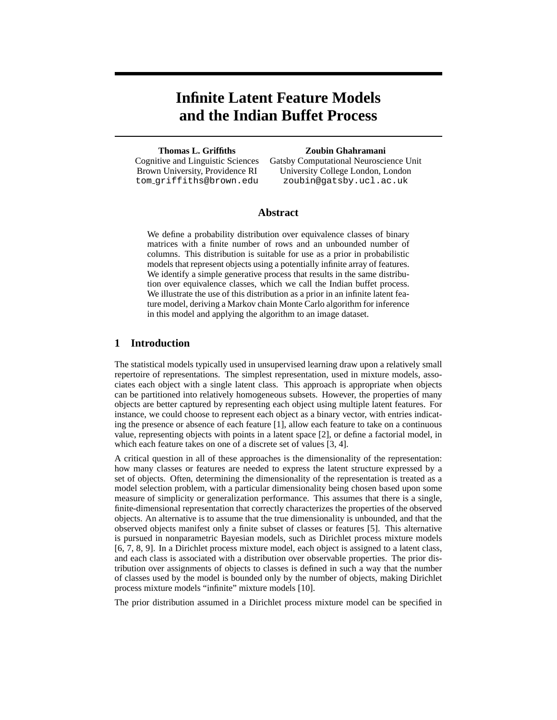# **Infinite Latent Feature Models and the Indian Buffet Process**

#### **Thomas L. Griffiths Zoubin Ghahramani**

Cognitive and Linguistic Sciences Gatsby Computational Neuroscience Unit Brown University, Providence RI University College London, London tom griffiths@brown.edu zoubin@gatsby.ucl.ac.uk

## **Abstract**

We define a probability distribution over equivalence classes of binary matrices with a finite number of rows and an unbounded number of columns. This distribution is suitable for use as a prior in probabilistic models that represent objects using a potentially infinite array of features. We identify a simple generative process that results in the same distribution over equivalence classes, which we call the Indian buffet process. We illustrate the use of this distribution as a prior in an infinite latent feature model, deriving a Markov chain Monte Carlo algorithm for inference in this model and applying the algorithm to an image dataset.

## **1 Introduction**

The statistical models typically used in unsupervised learning draw upon a relatively small repertoire of representations. The simplest representation, used in mixture models, associates each object with a single latent class. This approach is appropriate when objects can be partitioned into relatively homogeneous subsets. However, the properties of many objects are better captured by representing each object using multiple latent features. For instance, we could choose to represent each object as a binary vector, with entries indicating the presence or absence of each feature [1], allow each feature to take on a continuous value, representing objects with points in a latent space [2], or define a factorial model, in which each feature takes on one of a discrete set of values [3, 4].

A critical question in all of these approaches is the dimensionality of the representation: how many classes or features are needed to express the latent structure expressed by a set of objects. Often, determining the dimensionality of the representation is treated as a model selection problem, with a particular dimensionality being chosen based upon some measure of simplicity or generalization performance. This assumes that there is a single, finite-dimensional representation that correctly characterizes the properties of the observed objects. An alternative is to assume that the true dimensionality is unbounded, and that the observed objects manifest only a finite subset of classes or features [5]. This alternative is pursued in nonparametric Bayesian models, such as Dirichlet process mixture models [6, 7, 8, 9]. In a Dirichlet process mixture model, each object is assigned to a latent class, and each class is associated with a distribution over observable properties. The prior distribution over assignments of objects to classes is defined in such a way that the number of classes used by the model is bounded only by the number of objects, making Dirichlet process mixture models "infinite" mixture models [10].

The prior distribution assumed in a Dirichlet process mixture model can be specified in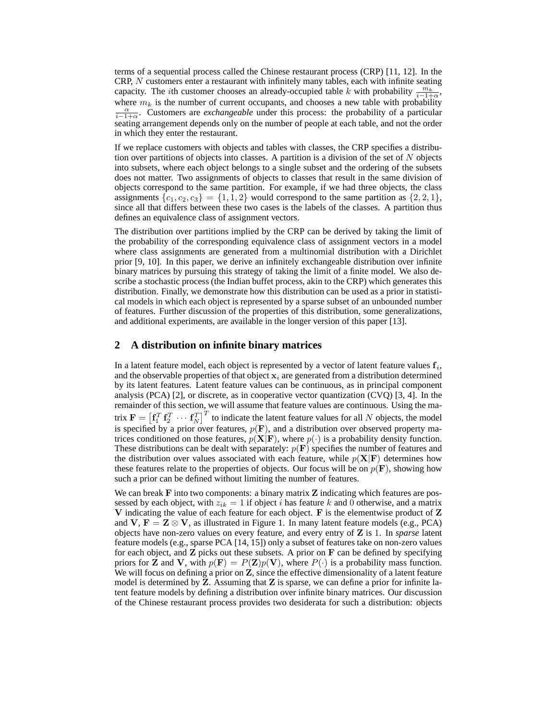terms of a sequential process called the Chinese restaurant process (CRP) [11, 12]. In the CRP, N customers enter a restaurant with infinitely many tables, each with infinite seating capacity. The *i*th customer chooses an already-occupied table k with probability  $\frac{m_k}{i-1+\alpha}$ , where  $m_k$  is the number of current occupants, and chooses a new table with probability  $\frac{\alpha}{i-1+\alpha}$ . Customers are *exchangeable* under this process: the probability of a particular seating arrangement depends only on the number of people at each table, and not the order in which they enter the restaurant.

If we replace customers with objects and tables with classes, the CRP specifies a distribution over partitions of objects into classes. A partition is a division of the set of  $N$  objects into subsets, where each object belongs to a single subset and the ordering of the subsets does not matter. Two assignments of objects to classes that result in the same division of objects correspond to the same partition. For example, if we had three objects, the class assignments  $\{c_1, c_2, c_3\} = \{1, 1, 2\}$  would correspond to the same partition as  $\{2, 2, 1\}$ , since all that differs between these two cases is the labels of the classes. A partition thus defines an equivalence class of assignment vectors.

The distribution over partitions implied by the CRP can be derived by taking the limit of the probability of the corresponding equivalence class of assignment vectors in a model where class assignments are generated from a multinomial distribution with a Dirichlet prior [9, 10]. In this paper, we derive an infinitely exchangeable distribution over infinite binary matrices by pursuing this strategy of taking the limit of a finite model. We also describe a stochastic process (the Indian buffet process, akin to the CRP) which generates this distribution. Finally, we demonstrate how this distribution can be used as a prior in statistical models in which each object is represented by a sparse subset of an unbounded number of features. Further discussion of the properties of this distribution, some generalizations, and additional experiments, are available in the longer version of this paper [13].

## **2 A distribution on infinite binary matrices**

In a latent feature model, each object is represented by a vector of latent feature values  $\mathbf{f}_i$ , and the observable properties of that object  $x_i$  are generated from a distribution determined by its latent features. Latent feature values can be continuous, as in principal component analysis (PCA) [2], or discrete, as in cooperative vector quantization (CVQ) [3, 4]. In the remainder of this section, we will assume that feature values are continuous. Using the matrix  $\mathbf{F} = \left[\mathbf{f}_1^T \ \mathbf{f}_2^T \ \cdots \ \mathbf{f}_N^T \right]^T$  to indicate the latent feature values for all N objects, the model is specified by a prior over features,  $p(\mathbf{F})$ , and a distribution over observed property matrices conditioned on those features,  $p(X|F)$ , where  $p(\cdot)$  is a probability density function. These distributions can be dealt with separately:  $p(\mathbf{F})$  specifies the number of features and the distribution over values associated with each feature, while  $p(X|F)$  determines how these features relate to the properties of objects. Our focus will be on  $p(\mathbf{F})$ , showing how such a prior can be defined without limiting the number of features.

We can break  $\bf{F}$  into two components: a binary matrix  $\bf{Z}$  indicating which features are possessed by each object, with  $z_{ik} = 1$  if object i has feature k and 0 otherwise, and a matrix V indicating the value of each feature for each object. F is the elementwise product of Z and  $V, F = Z \otimes V$ , as illustrated in Figure 1. In many latent feature models (e.g., PCA) objects have non-zero values on every feature, and every entry of Z is 1. In *sparse* latent feature models (e.g., sparse PCA [14, 15]) only a subset of features take on non-zero values for each object, and  $Z$  picks out these subsets. A prior on  $F$  can be defined by specifying priors for **Z** and **V**, with  $p(\mathbf{F}) = P(\mathbf{Z})p(\mathbf{V})$ , where  $P(\cdot)$  is a probability mass function. We will focus on defining a prior on **Z**, since the effective dimensionality of a latent feature model is determined by  $Z$ . Assuming that  $Z$  is sparse, we can define a prior for infinite latent feature models by defining a distribution over infinite binary matrices. Our discussion of the Chinese restaurant process provides two desiderata for such a distribution: objects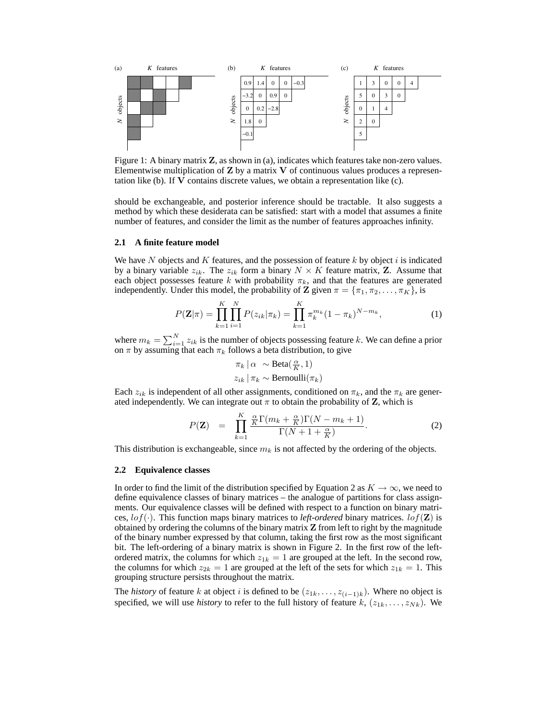

Figure 1: A binary matrix Z, as shown in (a), indicates which features take non-zero values. Elementwise multiplication of  $Z$  by a matrix  $V$  of continuous values produces a representation like (b). If V contains discrete values, we obtain a representation like (c).

should be exchangeable, and posterior inference should be tractable. It also suggests a method by which these desiderata can be satisfied: start with a model that assumes a finite number of features, and consider the limit as the number of features approaches infinity.

#### **2.1 A finite feature model**

We have  $N$  objects and  $K$  features, and the possession of feature  $k$  by object  $i$  is indicated by a binary variable  $z_{ik}$ . The  $z_{ik}$  form a binary  $N \times K$  feature matrix, **Z**. Assume that each object possesses feature k with probability  $\pi_k$ , and that the features are generated independently. Under this model, the probability of **Z** given  $\pi = {\pi_1, \pi_2, ..., \pi_K}$ , is

$$
P(\mathbf{Z}|\pi) = \prod_{k=1}^{K} \prod_{i=1}^{N} P(z_{ik}|\pi_k) = \prod_{k=1}^{K} \pi_k^{m_k} (1 - \pi_k)^{N - m_k},
$$
 (1)

where  $m_k = \sum_{i=1}^{N} z_{ik}$  is the number of objects possessing feature k. We can define a prior on  $\pi$  by assuming that each  $\pi_k$  follows a beta distribution, to give

$$
\pi_k \mid \alpha \sim \text{Beta}(\frac{\alpha}{K}, 1)
$$
  

$$
z_{ik} \mid \pi_k \sim \text{Bernoulli}(\pi_k)
$$

Each  $z_{ik}$  is independent of all other assignments, conditioned on  $\pi_k$ , and the  $\pi_k$  are generated independently. We can integrate out  $\pi$  to obtain the probability of **Z**, which is

$$
P(\mathbf{Z}) = \prod_{k=1}^{K} \frac{\frac{\alpha}{K} \Gamma(m_k + \frac{\alpha}{K}) \Gamma(N - m_k + 1)}{\Gamma(N + 1 + \frac{\alpha}{K})}.
$$
 (2)

This distribution is exchangeable, since  $m_k$  is not affected by the ordering of the objects.

#### **2.2 Equivalence classes**

In order to find the limit of the distribution specified by Equation 2 as  $K \to \infty$ , we need to define equivalence classes of binary matrices – the analogue of partitions for class assignments. Our equivalence classes will be defined with respect to a function on binary matrices,  $\text{log}(·)$ . This function maps binary matrices to *left-ordered* binary matrices.  $\text{log}(Z)$  is obtained by ordering the columns of the binary matrix Z from left to right by the magnitude of the binary number expressed by that column, taking the first row as the most significant bit. The left-ordering of a binary matrix is shown in Figure 2. In the first row of the leftordered matrix, the columns for which  $z_{1k} = 1$  are grouped at the left. In the second row, the columns for which  $z_{2k} = 1$  are grouped at the left of the sets for which  $z_{1k} = 1$ . This grouping structure persists throughout the matrix.

The *history* of feature k at object i is defined to be  $(z_{1k}, \ldots, z_{(i-1)k})$ . Where no object is specified, we will use *history* to refer to the full history of feature  $k$ ,  $(z_{1k},...,z_{Nk})$ . We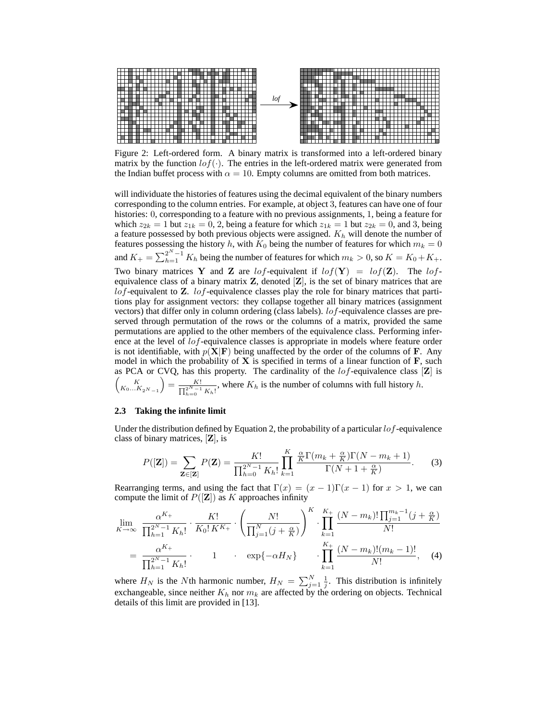

Figure 2: Left-ordered form. A binary matrix is transformed into a left-ordered binary matrix by the function  $lof(\cdot)$ . The entries in the left-ordered matrix were generated from the Indian buffet process with  $\alpha = 10$ . Empty columns are omitted from both matrices.

will individuate the histories of features using the decimal equivalent of the binary numbers corresponding to the column entries. For example, at object 3, features can have one of four histories: 0, corresponding to a feature with no previous assignments, 1, being a feature for which  $z_{2k} = 1$  but  $z_{1k} = 0$ , 2, being a feature for which  $z_{1k} = 1$  but  $z_{2k} = 0$ , and 3, being a feature possessed by both previous objects were assigned.  $K_h$  will denote the number of features possessing the history h, with  $K_0$  being the number of features for which  $m_k = 0$ and  $K_{+} = \sum_{h=1}^{2^{N}-1} K_{h}$  being the number of features for which  $m_{k} > 0$ , so  $K = K_{0} + K_{+}$ . Two binary matrices Y and Z are lof-equivalent if  $lof(Y) = lof(Z)$ . The lofequivalence class of a binary matrix  $Z$ , denoted  $[Z]$ , is the set of binary matrices that are  $lof$ -equivalent to Z.  $lof$ -equivalence classes play the role for binary matrices that partitions play for assignment vectors: they collapse together all binary matrices (assignment vectors) that differ only in column ordering (class labels).  $\log t$ -equivalence classes are preserved through permutation of the rows or the columns of a matrix, provided the same permutations are applied to the other members of the equivalence class. Performing inference at the level of *lof*-equivalence classes is appropriate in models where feature order is not identifiable, with  $p(X|F)$  being unaffected by the order of the columns of F. Any model in which the probability of  $X$  is specified in terms of a linear function of  $F$ , such as PCA or CVQ, has this property. The cardinality of the  $\text{log}$ -equivalence class [Z] is  $\binom{K}{K_0...K_{2N-1}} = \frac{K!}{\prod_{h=0}^{2N-1} K_h!}$ , where  $K_h$  is the number of columns with full history h.

### **2.3 Taking the infinite limit**

Under the distribution defined by Equation 2, the probability of a particular  $\log \frac{1}{f}$ -equivalence class of binary matrices, [Z], is

$$
P([\mathbf{Z}]) = \sum_{\mathbf{Z} \in [\mathbf{Z}]} P(\mathbf{Z}) = \frac{K!}{\prod_{h=0}^{2^N - 1} K_h!} \prod_{k=1}^K \frac{\frac{\alpha}{K} \Gamma(m_k + \frac{\alpha}{K}) \Gamma(N - m_k + 1)}{\Gamma(N + 1 + \frac{\alpha}{K})}.
$$
 (3)

Rearranging terms, and using the fact that  $\Gamma(x) = (x - 1)\Gamma(x - 1)$  for  $x > 1$ , we can compute the limit of  $P([Z])$  as K approaches infinity

$$
\lim_{K \to \infty} \frac{\alpha^{K_{+}}}{\prod_{h=1}^{2^{N}-1} K_{h}!} \cdot \frac{K!}{K_{0}! K^{K_{+}}} \cdot \left(\frac{N!}{\prod_{j=1}^{N} (j + \frac{\alpha}{K})}\right)^{K} \cdot \prod_{k=1}^{K_{+}} \frac{(N - m_{k})! \prod_{j=1}^{m_{k}-1} (j + \frac{\alpha}{K})}{N!}
$$
\n
$$
= \frac{\alpha^{K_{+}}}{\prod_{h=1}^{2^{N}-1} K_{h}!} \cdot 1 \cdot \exp\{-\alpha H_{N}\} \cdot \prod_{k=1}^{K_{+}} \frac{(N - m_{k})!(m_{k} - 1)!}{N!}, \quad (4)
$$

where  $H_N$  is the Nth harmonic number,  $H_N = \sum_{j=1}^N \frac{1}{j}$ . This distribution is infinitely exchangeable, since neither  $K_h$  nor  $m_k$  are affected by the ordering on objects. Technical details of this limit are provided in [13].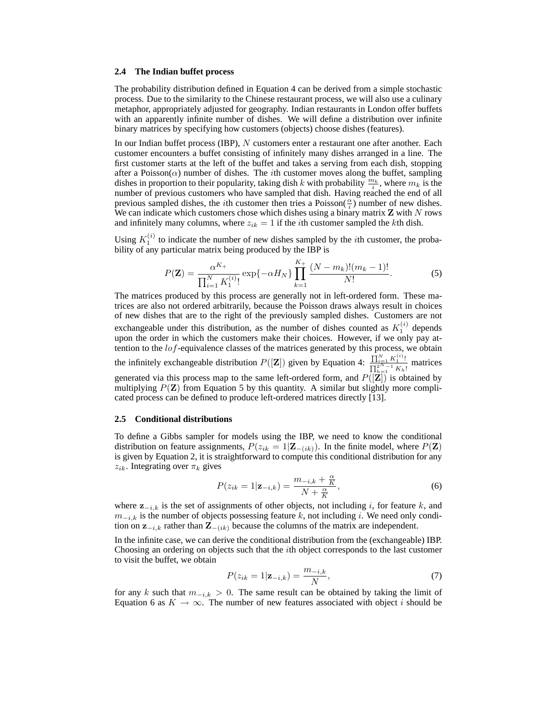#### **2.4 The Indian buffet process**

The probability distribution defined in Equation 4 can be derived from a simple stochastic process. Due to the similarity to the Chinese restaurant process, we will also use a culinary metaphor, appropriately adjusted for geography. Indian restaurants in London offer buffets with an apparently infinite number of dishes. We will define a distribution over infinite binary matrices by specifying how customers (objects) choose dishes (features).

In our Indian buffet process (IBP), N customers enter a restaurant one after another. Each customer encounters a buffet consisting of infinitely many dishes arranged in a line. The first customer starts at the left of the buffet and takes a serving from each dish, stopping after a Poisson( $\alpha$ ) number of dishes. The *i*th customer moves along the buffet, sampling dishes in proportion to their popularity, taking dish k with probability  $\frac{m_k}{i}$ , where  $m_k$  is the number of previous customers who have sampled that dish. Having reached the end of all previous sampled dishes, the *i*th customer then tries a Poisson( $\frac{\alpha}{i}$ ) number of new dishes. We can indicate which customers chose which dishes using a binary matrix  $Z$  with  $N$  rows and infinitely many columns, where  $z_{ik} = 1$  if the *i*th customer sampled the *k*th dish.

Using  $K_1^{(i)}$  to indicate the number of new dishes sampled by the *i*th customer, the probability of any particular matrix being produced by the IBP is

$$
P(\mathbf{Z}) = \frac{\alpha^{K_{+}}}{\prod_{i=1}^{N} K_{1}^{(i)}!} \exp\{-\alpha H_{N}\} \prod_{k=1}^{K_{+}} \frac{(N - m_{k})!(m_{k} - 1)!}{N!}.
$$
 (5)

The matrices produced by this process are generally not in left-ordered form. These matrices are also not ordered arbitrarily, because the Poisson draws always result in choices of new dishes that are to the right of the previously sampled dishes. Customers are not exchangeable under this distribution, as the number of dishes counted as  $K_1^{(i)}$  depends upon the order in which the customers make their choices. However, if we only pay attention to the lof-equivalence classes of the matrices generated by this process, we obtain the infinitely exchangeable distribution  $P([\mathbf{Z}])$  given by Equation 4:  $\frac{\prod_{i=1}^{N} K_1^{(i)}!}{\prod_{i=1}^{2^{N}-1} K_{h}!}$  matrices generated via this process map to the same left-ordered form, and  $P([\mathbf{Z}])$  is obtained by multiplying  $P(\mathbf{Z})$  from Equation 5 by this quantity. A similar but slightly more complicated process can be defined to produce left-ordered matrices directly [13].

#### **2.5 Conditional distributions**

To define a Gibbs sampler for models using the IBP, we need to know the conditional distribution on feature assignments,  $P(z_{ik} = 1|\mathbf{Z}_{-(ik)})$ . In the finite model, where  $P(\mathbf{Z})$ is given by Equation 2, it is straightforward to compute this conditional distribution for any  $z_{ik}$ . Integrating over  $\pi_k$  gives

$$
P(z_{ik}=1|\mathbf{z}_{-i,k})=\frac{m_{-i,k}+\frac{\alpha}{K}}{N+\frac{\alpha}{K}},\tag{6}
$$

where  $z_{-i,k}$  is the set of assignments of other objects, not including i, for feature k, and  $m_{-i,k}$  is the number of objects possessing feature k, not including i. We need only condition on  $z_{-i,k}$  rather than  $Z_{-(ik)}$  because the columns of the matrix are independent.

In the infinite case, we can derive the conditional distribution from the (exchangeable) IBP. Choosing an ordering on objects such that the ith object corresponds to the last customer to visit the buffet, we obtain

$$
P(z_{ik}=1|\mathbf{z}_{-i,k})=\frac{m_{-i,k}}{N},\qquad(7)
$$

for any k such that  $m_{-i,k} > 0$ . The same result can be obtained by taking the limit of Equation 6 as  $K \to \infty$ . The number of new features associated with object i should be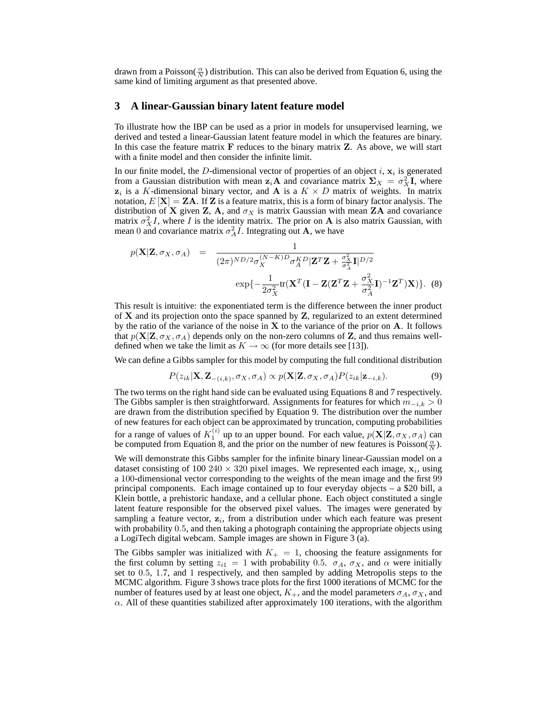drawn from a Poisson( $\frac{\alpha}{N}$ ) distribution. This can also be derived from Equation 6, using the same kind of limiting argument as that presented above.

### **3 A linear-Gaussian binary latent feature model**

To illustrate how the IBP can be used as a prior in models for unsupervised learning, we derived and tested a linear-Gaussian latent feature model in which the features are binary. In this case the feature matrix  $\bf{F}$  reduces to the binary matrix  $\bf{Z}$ . As above, we will start with a finite model and then consider the infinite limit.

In our finite model, the D-dimensional vector of properties of an object  $i$ ,  $x_i$  is generated from a Gaussian distribution with mean  $z_i$  A and covariance matrix  $\Sigma_X = \sigma_X^2 I$ , where  $z_i$  is a K-dimensional binary vector, and **A** is a  $K \times D$  matrix of weights. In matrix notation,  $E[\mathbf{X}] = \mathbf{Z} \mathbf{A}$ . If  $\mathbf{Z}$  is a feature matrix, this is a form of binary factor analysis. The distribution of X given Z, A, and  $\sigma_X$  is matrix Gaussian with mean ZA and covariance matrix  $\sigma_X^2 I$ , where I is the identity matrix. The prior on A is also matrix Gaussian, with mean 0 and covariance matrix  $\sigma_A^2 I$ . Integrating out **A**, we have

$$
p(\mathbf{X}|\mathbf{Z}, \sigma_X, \sigma_A) = \frac{1}{(2\pi)^{ND/2} \sigma_X^{(N-K)D} \sigma_A^{KD} |\mathbf{Z}^T \mathbf{Z} + \frac{\sigma_X^2}{\sigma_A^2} \mathbf{I}|^{D/2}}
$$
  
\n
$$
\exp\{-\frac{1}{2\sigma_X^2} \text{tr}(\mathbf{X}^T (\mathbf{I} - \mathbf{Z}(\mathbf{Z}^T \mathbf{Z} + \frac{\sigma_X^2}{\sigma_A^2} \mathbf{I})^{-1} \mathbf{Z}^T) \mathbf{X})\}.
$$
 (8)

This result is intuitive: the exponentiated term is the difference between the inner product of  $X$  and its projection onto the space spanned by  $Z$ , regularized to an extent determined by the ratio of the variance of the noise in  $X$  to the variance of the prior on  $A$ . It follows that  $p(X|Z, \sigma_X, \sigma_A)$  depends only on the non-zero columns of Z, and thus remains welldefined when we take the limit as  $K \to \infty$  (for more details see [13]).

We can define a Gibbs sampler for this model by computing the full conditional distribution

$$
P(z_{ik}|\mathbf{X}, \mathbf{Z}_{-(i,k)}, \sigma_X, \sigma_A) \propto p(\mathbf{X}|\mathbf{Z}, \sigma_X, \sigma_A) P(z_{ik}|\mathbf{z}_{-i,k}).
$$
\n(9)

The two terms on the right hand side can be evaluated using Equations 8 and 7 respectively. The Gibbs sampler is then straightforward. Assignments for features for which  $m_{-i,k} > 0$ are drawn from the distribution specified by Equation 9. The distribution over the number of new features for each object can be approximated by truncation, computing probabilities for a range of values of  $K_1^{(i)}$  up to an upper bound. For each value,  $p(\mathbf{X}|\mathbf{Z}, \sigma_X, \sigma_A)$  can be computed from Equation 8, and the prior on the number of new features is Poisson( $\frac{\alpha}{N}$ ).

We will demonstrate this Gibbs sampler for the infinite binary linear-Gaussian model on a dataset consisting of 100 240  $\times$  320 pixel images. We represented each image,  $\mathbf{x}_i$ , using a 100-dimensional vector corresponding to the weights of the mean image and the first 99 principal components. Each image contained up to four everyday objects – a \$20 bill, a Klein bottle, a prehistoric handaxe, and a cellular phone. Each object constituted a single latent feature responsible for the observed pixel values. The images were generated by sampling a feature vector,  $z_i$ , from a distribution under which each feature was present with probability 0.5, and then taking a photograph containing the appropriate objects using a LogiTech digital webcam. Sample images are shown in Figure 3 (a).

The Gibbs sampler was initialized with  $K_{+} = 1$ , choosing the feature assignments for the first column by setting  $z_{i1} = 1$  with probability 0.5.  $\sigma_A$ ,  $\sigma_X$ , and  $\alpha$  were initially set to 0.5, 1.7, and 1 respectively, and then sampled by adding Metropolis steps to the MCMC algorithm. Figure 3 shows trace plots for the first 1000 iterations of MCMC for the number of features used by at least one object,  $K_{+}$ , and the model parameters  $\sigma_A$ ,  $\sigma_X$ , and  $\alpha$ . All of these quantities stabilized after approximately 100 iterations, with the algorithm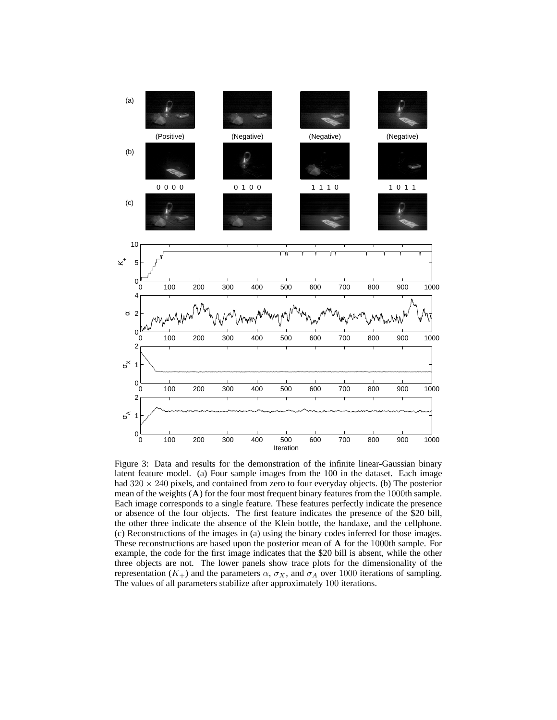

Figure 3: Data and results for the demonstration of the infinite linear-Gaussian binary latent feature model. (a) Four sample images from the 100 in the dataset. Each image had  $320 \times 240$  pixels, and contained from zero to four everyday objects. (b) The posterior mean of the weights (A) for the four most frequent binary features from the 1000th sample. Each image corresponds to a single feature. These features perfectly indicate the presence or absence of the four objects. The first feature indicates the presence of the \$20 bill, the other three indicate the absence of the Klein bottle, the handaxe, and the cellphone. (c) Reconstructions of the images in (a) using the binary codes inferred for those images. These reconstructions are based upon the posterior mean of A for the 1000th sample. For example, the code for the first image indicates that the \$20 bill is absent, while the other three objects are not. The lower panels show trace plots for the dimensionality of the representation ( $K_{+}$ ) and the parameters  $\alpha$ ,  $\sigma_X$ , and  $\sigma_A$  over 1000 iterations of sampling. The values of all parameters stabilize after approximately 100 iterations.